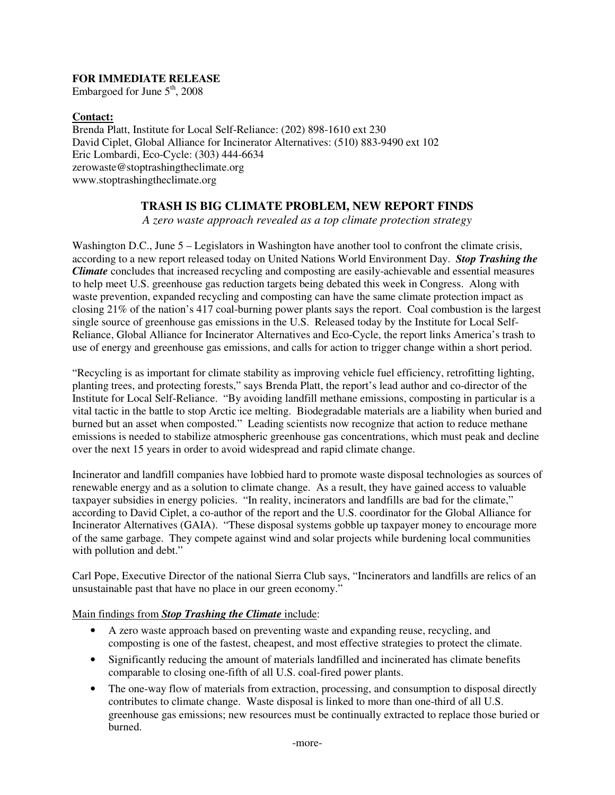## **FOR IMMEDIATE RELEASE**

Embargoed for June  $5<sup>th</sup>$ , 2008

## **Contact:**

Brenda Platt, Institute for Local Self-Reliance: (202) 898-1610 ext 230 David Ciplet, Global Alliance for Incinerator Alternatives: (510) 883-9490 ext 102 Eric Lombardi, Eco-Cycle: (303) 444-6634 zerowaste@stoptrashingtheclimate.org www.stoptrashingtheclimate.org

# **TRASH IS BIG CLIMATE PROBLEM, NEW REPORT FINDS**

*A zero waste approach revealed as a top climate protection strategy* 

Washington D.C., June 5 – Legislators in Washington have another tool to confront the climate crisis, according to a new report released today on United Nations World Environment Day. *Stop Trashing the Climate* concludes that increased recycling and composting are easily-achievable and essential measures to help meet U.S. greenhouse gas reduction targets being debated this week in Congress. Along with waste prevention, expanded recycling and composting can have the same climate protection impact as closing 21% of the nation's 417 coal-burning power plants says the report. Coal combustion is the largest single source of greenhouse gas emissions in the U.S. Released today by the Institute for Local Self-Reliance, Global Alliance for Incinerator Alternatives and Eco-Cycle, the report links America's trash to use of energy and greenhouse gas emissions, and calls for action to trigger change within a short period.

"Recycling is as important for climate stability as improving vehicle fuel efficiency, retrofitting lighting, planting trees, and protecting forests," says Brenda Platt, the report's lead author and co-director of the Institute for Local Self-Reliance. "By avoiding landfill methane emissions, composting in particular is a vital tactic in the battle to stop Arctic ice melting. Biodegradable materials are a liability when buried and burned but an asset when composted." Leading scientists now recognize that action to reduce methane emissions is needed to stabilize atmospheric greenhouse gas concentrations, which must peak and decline over the next 15 years in order to avoid widespread and rapid climate change.

Incinerator and landfill companies have lobbied hard to promote waste disposal technologies as sources of renewable energy and as a solution to climate change. As a result, they have gained access to valuable taxpayer subsidies in energy policies. "In reality, incinerators and landfills are bad for the climate," according to David Ciplet, a co-author of the report and the U.S. coordinator for the Global Alliance for Incinerator Alternatives (GAIA). "These disposal systems gobble up taxpayer money to encourage more of the same garbage. They compete against wind and solar projects while burdening local communities with pollution and debt."

Carl Pope, Executive Director of the national Sierra Club says, "Incinerators and landfills are relics of an unsustainable past that have no place in our green economy."

## Main findings from *Stop Trashing the Climate* include:

- A zero waste approach based on preventing waste and expanding reuse, recycling, and composting is one of the fastest, cheapest, and most effective strategies to protect the climate.
- Significantly reducing the amount of materials landfilled and incinerated has climate benefits comparable to closing one-fifth of all U.S. coal-fired power plants.
- The one-way flow of materials from extraction, processing, and consumption to disposal directly contributes to climate change. Waste disposal is linked to more than one-third of all U.S. greenhouse gas emissions; new resources must be continually extracted to replace those buried or burned.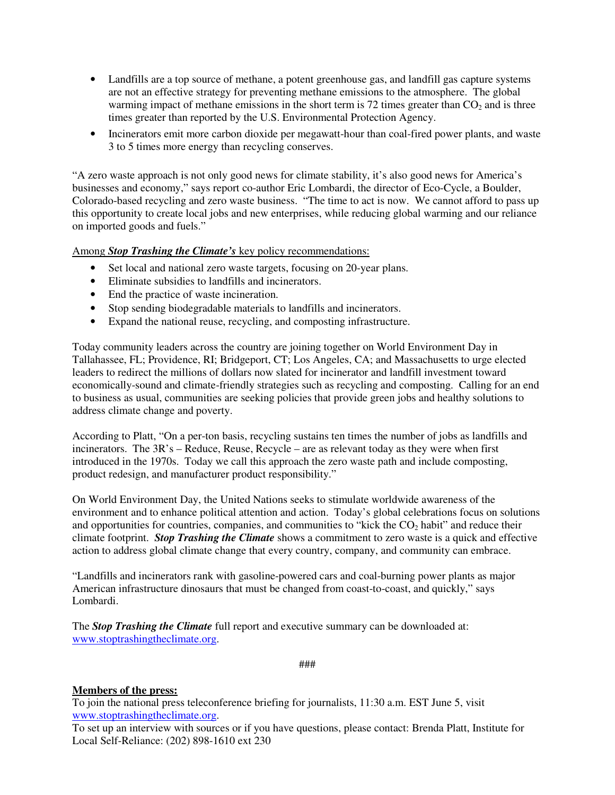- Landfills are a top source of methane, a potent greenhouse gas, and landfill gas capture systems are not an effective strategy for preventing methane emissions to the atmosphere. The global warming impact of methane emissions in the short term is 72 times greater than  $CO<sub>2</sub>$  and is three times greater than reported by the U.S. Environmental Protection Agency.
- Incinerators emit more carbon dioxide per megawatt-hour than coal-fired power plants, and waste 3 to 5 times more energy than recycling conserves.

"A zero waste approach is not only good news for climate stability, it's also good news for America's businesses and economy," says report co-author Eric Lombardi, the director of Eco-Cycle, a Boulder, Colorado-based recycling and zero waste business. "The time to act is now. We cannot afford to pass up this opportunity to create local jobs and new enterprises, while reducing global warming and our reliance on imported goods and fuels."

#### Among *Stop Trashing the Climate's* key policy recommendations:

- Set local and national zero waste targets, focusing on 20-year plans.
- Eliminate subsidies to landfills and incinerators.
- End the practice of waste incineration.
- Stop sending biodegradable materials to landfills and incinerators.
- Expand the national reuse, recycling, and composting infrastructure.

Today community leaders across the country are joining together on World Environment Day in Tallahassee, FL; Providence, RI; Bridgeport, CT; Los Angeles, CA; and Massachusetts to urge elected leaders to redirect the millions of dollars now slated for incinerator and landfill investment toward economically-sound and climate-friendly strategies such as recycling and composting. Calling for an end to business as usual, communities are seeking policies that provide green jobs and healthy solutions to address climate change and poverty.

According to Platt, "On a per-ton basis, recycling sustains ten times the number of jobs as landfills and incinerators. The 3R's – Reduce, Reuse, Recycle – are as relevant today as they were when first introduced in the 1970s. Today we call this approach the zero waste path and include composting, product redesign, and manufacturer product responsibility."

On World Environment Day, the United Nations seeks to stimulate worldwide awareness of the environment and to enhance political attention and action. Today's global celebrations focus on solutions and opportunities for countries, companies, and communities to "kick the  $CO<sub>2</sub>$  habit" and reduce their climate footprint. *Stop Trashing the Climate* shows a commitment to zero waste is a quick and effective action to address global climate change that every country, company, and community can embrace.

"Landfills and incinerators rank with gasoline-powered cars and coal-burning power plants as major American infrastructure dinosaurs that must be changed from coast-to-coast, and quickly," says Lombardi.

The *Stop Trashing the Climate* full report and executive summary can be downloaded at: www.stoptrashingtheclimate.org.

###

#### **Members of the press:**

To join the national press teleconference briefing for journalists, 11:30 a.m. EST June 5, visit www.stoptrashingtheclimate.org.

To set up an interview with sources or if you have questions, please contact: Brenda Platt, Institute for Local Self-Reliance: (202) 898-1610 ext 230